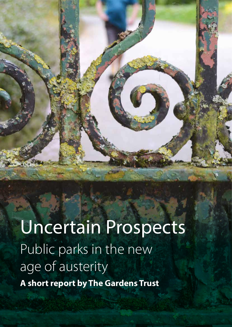Uncertain Prospects Public parks in the new age of austerity **A short report by The Gardens Trust**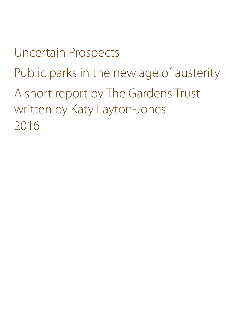Uncertain Prospects Public parks in the new age of austerity A short report by The Gardens Trust written by Katy Layton-Jones 2016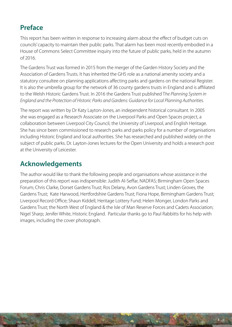# **Preface**

This report has been written in response to increasing alarm about the effect of budget cuts on councils' capacity to maintain their public parks. That alarm has been most recently embodied in a House of Commons Select Committee inquiry into the future of public parks, held in the autumn of 2016.

The Gardens Trust was formed in 2015 from the merger of the Garden History Society and the Association of Gardens Trusts. It has inherited the GHS role as a national amenity society and a statutory consultee on planning applications affecting parks and gardens on the national Register. It is also the umbrella group for the network of 36 county gardens trusts in England and is affiliated to the Welsh Historic Gardens Trust. In 2016 the Gardens Trust published T*he Planning System in England and the Protection of Historic Parks and Gardens: Guidance for Local Planning Authorities.* 

The report was written by Dr Katy Layton-Jones, an independent historical consultant. In 2005 she was engaged as a Research Associate on the Liverpool Parks and Open Spaces project, a collaboration between Liverpool City Council, the University of Liverpool, and English Heritage. She has since been commissioned to research parks and parks policy for a number of organisations including Historic England and local authorities. She has researched and published widely on the subject of public parks. Dr. Layton-Jones lectures for the Open University and holds a research post at the University of Leicester.

## **Acknowledgements**

The author would like to thank the following people and organisations whose assistance in the preparation of this report was indispensible: Judith Al-Seffar, NADFAS; Birmingham Open Spaces Forum; Chris Clarke, Dorset Gardens Trust; Ros Delany, Avon Gardens Trust; Linden Groves, the Gardens Trust; Kate Harwood, Hertfordshire Gardens Trust; Fiona Hope, Birmingham Gardens Trust; Liverpool Record Office; Shaun Kiddell, Heritage Lottery Fund; Helen Monger, London Parks and Gardens Trust; the North West of England & the Isle of Man Reserve Forces and Cadets Association; Nigel Sharp; Jenifer White, Historic England. Particular thanks go to Paul Rabbitts for his help with images, including the cover photograph.

**1**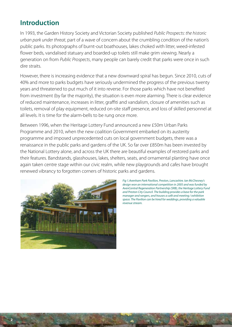### **Introduction**

In 1993, the Garden History Society and Victorian Society published *Public Prospects: the historic urban park under threat*, part of a wave of concern about the crumbling condition of the nation's public parks. Its photographs of burnt-out boathouses, lakes choked with litter, weed-infested flower beds, vandalised statuary and boarded-up toilets still make grim viewing. Nearly a generation on from *Public Prospects*, many people can barely credit that parks were once in such dire straits.

However, there is increasing evidence that a new downward spiral has begun. Since 2010, cuts of 40% and more to parks budgets have seriously undermined the progress of the previous twenty years and threatened to put much of it into reverse. For those parks which have not benefited from investment (by far the majority), the situation is even more alarming. There is clear evidence of reduced maintenance, increases in litter, graffiti and vandalism, closure of amenities such as toilets, removal of play equipment, reduced on-site staff presence, and loss of skilled personnel at all levels. It is time for the alarm-bells to be rung once more.

Between 1996, when the Heritage Lottery Fund announced a new £50m Urban Parks Programme and 2010, when the new coalition Government embarked on its austerity programme and imposed unprecedented cuts on local government budgets, there was a renaissance in the public parks and gardens of the UK. So far over £850m has been invested by the National Lottery alone, and across the UK there are beautiful examples of restored parks and their features. Bandstands, glasshouses, lakes, shelters, seats, and ornamental planting have once again taken centre stage within our civic realm, while new playgrounds and cafes have brought renewed vibrancy to forgotten corners of historic parks and gardens.



**2**

*Fig 1.Avenham Park Pavilion, Preston, Lancashire. Ian McChesney's design won an international competition in 2005 and was funded by AvenCentral Regeneration Partnership (SRB), the Heritage Lottery Fund and Preston City Council. The building provides a base for the park manager and rangers, and houses a café and meeting / exhibition space. The Pavilion can be hired for weddings, providing a valuable revenue stream.*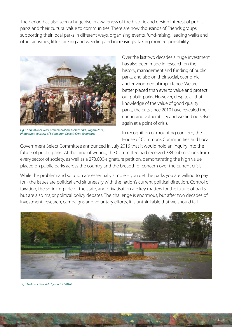The period has also seen a huge rise in awareness of the historic and design interest of public parks and their cultural value to communities. There are now thousands of Friends groups supporting their local parks in different ways, organising events, fund-raising, leading walks and other activities, litter-picking and weeding and increasingly taking more responsibility.



*Fig 2.Annual Boer War Commemoration, Mesnes Park, Wigan (2014). Photograph courtesy of B Squadron Queen's Own Yeomanry.*

Over the last two decades a huge investment has also been made in research on the history, management and funding of public parks, and also on their social, economic and environmental importance. We are better placed than ever to value and protect our public parks. However, despite all that knowledge of the value of good quality parks, the cuts since 2010 have revealed their continuing vulnerability and we find ourselves again at a point of crisis.

In recognition of mounting concern, the House of Commons Communities and Local

Government Select Committee announced in July 2016 that it would hold an inquiry into the future of public parks. At the time of writing, the Committee had received 384 submissions from every sector of society, as well as a 273,000-signature petition, demonstrating the high value placed on public parks across the country and the breadth of concern over the current crisis.

While the problem and solution are essentially simple – you get the parks you are willing to pay for - the issues are political and sit uneasily with the nation's current political direction. Control of taxation, the shrinking role of the state, and privatisation are key matters for the future of parks but are also major political policy debates. The challenge is enormous, but after two decades of investment, research, campaigns and voluntary efforts, it is unthinkable that we should fail.



*Fig 3 GelliPark,Rhondda Cynon Taf (2016)*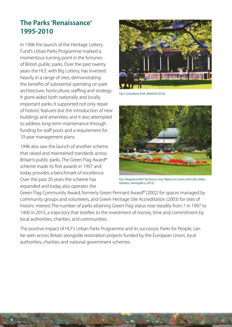# **The Parks 'Renaissance' 1995-2010**

In 1996 the launch of the Heritage Lottery Fund's Urban Parks Programme marked a momentous turning point in the fortunes of British public parks. Over the past twenty years the HLF, with Big Lottery, has invested heavily in a range of sites, demonstrating the benefits of substantial spending on park architecture, horticulture, staffing and strategy. It grant-aided both nationally and locally important parks; it supported not only repair of historic features but the introduction of new buildings and amenities; and it also attempted to address long-term maintenance through funding for staff posts and a requirement for 10-year management plans.

1996 also saw the launch of another scheme that raised and maintained standards across Britain's public parks. The Green Flag Award® scheme made its first awards in 1997 and today provides a benchmark of excellence. Over the past 20 years the scheme has expanded and today also operates the



*Fig 3 Cassiobury Park, Watford (2016).*



*Fig 5 Magnesia Well Tea Room, now 'Ripley Ice Cream and Café', Valley Gardens, Harrogate (c.2015).*

Green Flag Community Award, formerly Green Pennant Award® (2002) for spaces managed by community groups and volunteers, and Green Heritage Site Accreditation (2003) for sites of historic interest.The number of parks attaining Green Flag status rose steadily from 7 in 1997 to 1400 in 2015, a trajectory that testifies to the investment of money, time and commitment by local authorities, charities, and communities.

The positive impact of HLF's Urban Parks Programme and its successor, Parks for People, can be seen across Britain alongside restoration projects funded by the European Union, local authorities, charities and national government schemes.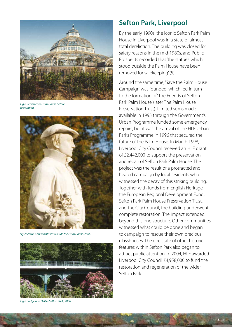

*Fig 6.Sefton Park Palm House before restoration.*



*Fig 7 Statue now reinstated outside the Palm House, 2006.*



*Fig 8 Bridge and Dell in Sefton Park, 2006.*

#### **Sefton Park, Liverpool**

By the early 1990s, the iconic Sefton Park Palm House in Liverpool was in a state of almost total dereliction. The building was closed for safety reasons in the mid-1980s, and Public Prospects recorded that 'the statues which stood outside the Palm House have been removed for safekeeping' (5).

Around the same time, 'Save the Palm House Campaign' was founded, which led in turn to the formation of 'The Friends of Sefton Park Palm House' (later The Palm House Preservation Trust). Limited sums made available in 1993 through the Government's Urban Programme funded some emergency repairs, but it was the arrival of the HLF Urban Parks Programme in 1996 that secured the future of the Palm House. In March 1998, Liverpool City Council received an HLF grant of £2,442,000 to support the preservation and repair of Sefton Park Palm House. The project was the result of a protracted and heated campaign by local residents who witnessed the decay of this striking building. Together with funds from English Heritage, the European Regional Development Fund, Sefton Park Palm House Preservation Trust, and the City Council, the building underwent complete restoration. The impact extended beyond this one structure. Other communities witnessed what could be done and began to campaign to rescue their own precious glasshouses. The dire state of other historic features within Sefton Park also began to attract public attention. In 2004, HLF awarded Liverpool City Council £4,958,000 to fund the restoration and regeneration of the wider Sefton Park.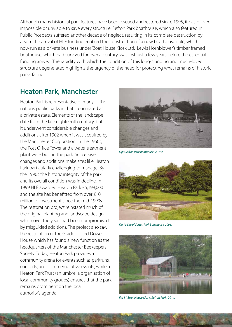Although many historical park features have been rescued and restored since 1995, it has proved impossible or unviable to save every structure. Sefton Park boathouse, which also featured in Public Prospects suffered another decade of neglect, resulting in its complete destruction by arson. The arrival of HLF funding enabled the construction of a new boathouse café, which is now run as a private business under 'Boat House Kiosk Ltd.' Lewis Hornblower's timber framed boathouse, which had survived for over a century, was lost just a few years before the essential funding arrived. The rapidity with which the condition of this long-standing and much-loved structure degenerated highlights the urgency of the need for protecting what remains of historic parks' fabric.

#### **Heaton Park, Manchester**

Heaton Park is representative of many of the nation's public parks in that it originated as a private estate. Elements of the landscape date from the late eighteenth century, but it underwent considerable changes and additions after 1902 when it was acquired by the Manchester Corporation. In the 1960s, the Post Office Tower and a water treatment plant were built in the park. Successive changes and additions make sites like Heaton Park particularly challenging to manage. By the 1990s the historic integrity of the park and its overall condition was in decline. In 1999 HLF awarded Heaton Park £5,199,000 and the site has benefitted from over £10 million of investment since the mid-1990s. The restoration project reinstated much of the original planting and landscape design which over the years had been compromised by misguided additions. The project also saw the restoration of the Grade II listed Dower House which has found a new function as the headquarters of the Manchester Beekeepers Society. Today, Heaton Park provides a community arena for events such as parkruns, concerts, and commemorative events, while a Heaton Park Trust (an umbrella organisation of local community groups) ensures that the park remains prominent on the local authority's agenda.



*Fig 9 Sefton Park boathouse, c.1895 Fig 9 Sefton Park boathouse, c.1895*



*Fig 10 Site of Sefton Park Boat house, 2006.*



*Fig 11 Boat House Kiosk, Sefton Park, 2014.*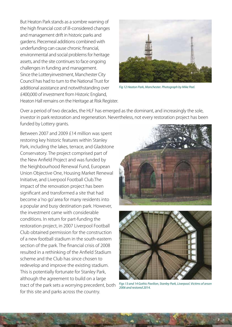But Heaton Park stands as a sombre warning of the high financial cost of ill-considered changes and management drift in historic parks and gardens. Piecemeal additions combined with underfunding can cause chronic financial, environmental and social problems for heritage assets, and the site continues to face ongoing challenges in funding and management. Since the Lotteryinvestment, Manchester City Council has had to turn to the National Trust for additional assistance and notwithstanding over £400,000 of investment from Historic England, Heaton Hall remains on the Heritage at Risk Register.



*Fig 12 Heaton Park, Manchester. Photograph by Mike Peel.*

Over a period of two decades, the HLF has emerged as the dominant, and increasingly the sole, investor in park restoration and regeneration. Nevertheless, not every restoration project has been funded by Lottery grants.

Between 2007 and 2009 £14 million was spent restoring key historic features within Stanley Park, including the lakes, terrace, and Gladstone Conservatory. The project comprised part of the New Anfield Project and was funded by the Neighbourhood Renewal Fund, European Union Objective One, Housing Market Renewal Initiative, and Liverpool Football Club.The impact of the renovation project has been significant and transformed a site that had become a 'no go' area for many residents into a popular and busy destination park. However, the investment came with considerable conditions. In return for part-funding the restoration project, in 2007 Liverpool Football Club obtained permission for the construction of a new football stadium in the south-eastern section of the park. The financial crisis of 2008 resulted in a rethinking of the Anfield Stadium scheme and the Club has since chosen to redevelop and improve the existing stadium. This is potentially fortunate for Stanley Park, although the agreement to build on a large tract of the park sets a worrying precedent, both for this site and parks across the country.





*Figs 13 and 14 Gothic Pavilion, Stanley Park, Liverpool. Victims of arson 2006 and restored 2014.*

**7**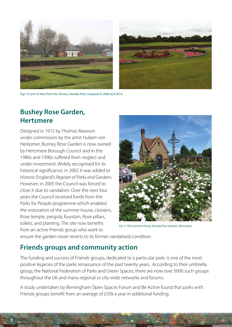

*Figs 15 and 16 View from the Terrace, Stanley Park, Liverpool in 2006 and 2014.*

### **Bushey Rose Garden, Hertsmere**

Designed in 1912 by Thomas Mawson under commission by the artist Hubert von Herkomer, Bushey Rose Garden is now owned by Hertsmere Borough Council and in the 1980s and 1990s suffered from neglect and under-investment. Widely recognised for its historical significance, in 2002 it was added to Historic England's *Register of Parks and Gardens*. However, in 2005 the Council was forced to close it due to vandalism. Over the next four years the Council received funds from the Parks for People programme which enabled the restoration of the summer house, cloisters, Rose temple, pergola, fountain, Rose pillars, toilets, and planting. The site now benefits from an active Friends group who work to



*Fig 17 The Summer House, Bushey Rose Garden, Hertsmere.* 

ensure the garden never reverts to its former vandalised condition.

#### **Friends groups and community action**

The funding and success of Friends groups, dedicated to a particular park, is one of the most positive legacies of the parks renaissance of the past twenty years. According to their umbrella group, the National Federation of Parks and Green Spaces, there are now over 5000 such groups throughout the UK and many regional or city-wide networks and forums.

A study undertaken by Birmingham Open Spaces Forum and Be Active found that parks with Friends groups benefit from an average of £35k a year in additional funding.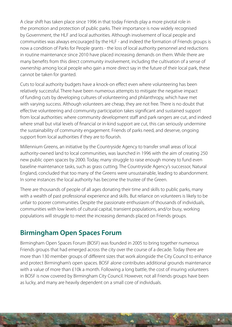A clear shift has taken place since 1996 in that today Friends play a more pivotal role in the promotion and protection of public parks. Their importance is now widely recognised by Government, the HLF and local authorities. Although involvement of local people and communities was always encouraged by the HLF - and indeed the formation of Friends groups is now a condition of Parks for People grants - the loss of local authority personnel and reductions in routine maintenance since 2010 have placed increasing demands on them. While there are many benefits from this direct community involvement, including the cultivation of a sense of ownership among local people who gain a more direct say in the future of their local park, these cannot be taken for granted.

Cuts to local authority budgets have a knock-on effect even where volunteering has been relatively successful. There have been numerous attempts to mitigate the negative impact of funding cuts by developing cultures of volunteering and philanthropy, which have met with varying success. Although volunteers are cheap, they are not free. There is no doubt that effective volunteering and community participation takes significant and sustained support from local authorities: where community development staff and park rangers are cut, and indeed where small but vital levels of financial or in-kind support are cut, this can seriously undermine the sustainability of community engagement. Friends of parks need, and deserve, ongoing support from local authorities if they are to flourish.

Millennium Greens, an initiative by the Countryside Agency to transfer small areas of local authority-owned land to local communities, was launched in 1996 with the aim of creating 250 new public open spaces by 2000. Today, many struggle to raise enough money to fund even baseline maintenance tasks, such as grass cutting. The Countryside Agency's successor, Natural England, concluded that too many of the Greens were unsustainable, leading to abandonment. In some instances the local authority has become the trustee of the Green.

There are thousands of people of all ages donating their time and skills to public parks, many with a wealth of past professional experience and skills. But reliance on volunteers is likely to be unfair to poorer communities. Despite the passionate enthusiasm of thousands of individuals, communities with low levels of cultural capital, transient populations, and/or busy, working populations will struggle to meet the increasing demands placed on Friends groups.

# **Birmingham Open Spaces Forum**

Birmingham Open Spaces Forum (BOSF) was founded in 2005 to bring together numerous Friends groups that had emerged across the city over the course of a decade. Today there are more than 130 member groups of different sizes that work alongside the City Council to enhance and protect Birmingham's open spaces. BOSF alone contributes additional grounds maintenance with a value of more than £10k a month. Following a long battle, the cost of insuring volunteers in BOSF is now covered by Birmingham City Council. However, not all Friends groups have been as lucky, and many are heavily dependent on a small core of individuals.

**9**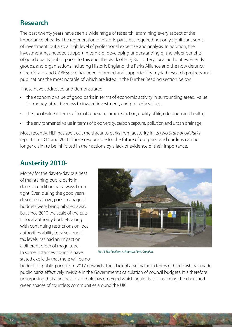# **Research**

The past twenty years have seen a wide range of research, examining every aspect of the importance of parks. The regeneration of historic parks has required not only significant sums of investment, but also a high level of professional expertise and analysis. In addition, the investment has needed support in terms of developing understanding of the wider benefits of good quality public parks. To this end, the work of HLF, Big Lottery, local authorities, Friends groups, and organisations including Historic England, the Parks Alliance and the now defunct Green Space and CABESpace has been informed and supported by myriad research projects and publications,the most notable of which are listed in the Further Reading section below.

These have addressed and demonstrated:

- the economic value of good parks in terms of economic activity in surrounding areas, value for money, attractiveness to inward investment, and property values;
- the social value in terms of social cohesion, crime reduction, quality of life, education and health;
- the environmental value in terms of biodiversity, carbon capture, pollution and urban drainage.

Most recently, HLF has spelt out the threat to parks from austerity in its two *State of UK Parks* reports in 2014 and 2016. Those responsible for the future of our parks and gardens can no longer claim to be inhibited in their actions by a lack of evidence of their importance.

### **Austerity 2010-**

Money for the day-to-day business of maintaining public parks in decent condition has always been tight. Even during the good years described above, parks managers' budgets were being nibbled away. But since 2010 the scale of the cuts to local authority budgets along with continuing restrictions on local authorities' ability to raise council tax levels has had an impact on a different order of magnitude. In some instances, councils have stated explicitly that there will be no



*Fig 18 Tea Pavilion, Ashburton Park, Croydon.*

budget for public parks from 2017 onwards. Their lack of asset value in terms of hard cash has made public parks effectively invisible in the Government's calculation of council budgets. It is therefore unsurprising that a financial black hole has emerged which again risks consuming the cherished green spaces of countless communities around the UK.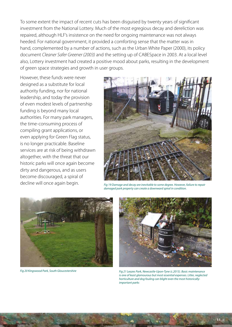To some extent the impact of recent cuts has been disguised by twenty years of significant investment from the National Lottery. Much of the most egregious decay and dereliction was repaired, although HLF's insistence on the need for ongoing maintenance was not always heeded. For national government, it provided a comforting sense that the matter was in hand, complemented by a number of actions, such as the Urban White Paper (2000), its policy document *Cleaner Safer Greener (2003)* and the setting up of CABESpace in 2003. At a local level also, Lottery investment had created a positive mood about parks, resulting in the development of green space strategies and growth in user groups.

However, these funds were never designed as a substitute for local authority funding, nor for national leadership, and today the provision of even modest levels of partnership funding is beyond many local authorities. For many park managers, the time-consuming process of compiling grant applications, or even applying for Green Flag status, is no longer practicable. Baseline services are at risk of being withdrawn altogether, with the threat that our historic parks will once again become dirty and dangerous, and as users become discouraged, a spiral of decline will once again begin.



*Fig 19 Damage and decay are inevitable to some degree. However, failure to repair damaged park property can create a downward spiral in condition.*





*Fig 20 Kingswood Park, South Gloucestershire Fig 21 Leazes Park, Newcastle-Upon-Tyne (c.2015). Basic maintenance is one of least glamourous but most essential expenses. Litter, neglected horticulture and dog fouling can blight even the most historicallyimportant parks*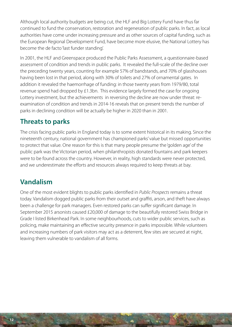Although local authority budgets are being cut, the HLF and Big Lottery Fund have thus far continued to fund the conservation, restoration and regeneration of public parks. In fact, as local authorities have come under increasing pressure and as other sources of capital funding, such as the European Regional Development Fund, have become more elusive, the National Lottery has become the de facto 'last funder standing'.

In 2001, the HLF and Greenspace produced the Public Parks Assessment, a questionnaire-based assessment of condition and trends in public parks. It revealed the full-scale of the decline over the preceding twenty years, counting for example 57% of bandstands, and 70% of glasshouses having been lost in that period, along with 30% of toilets and 27% of ornamental gates. In addition it revealed the haemorrhage of funding: in those twenty years from 1979/80, total revenue spend had dropped by £1.3bn. This evidence largely formed the case for ongoing Lottery investment, but the achievements in reversing the decline are now under threat: reexamination of condition and trends in 2014-16 reveals that on present trends the number of parks in declining condition will be actually be higher in 2020 than in 2001.

# **Threats to parks**

The crisis facing public parks in England today is to some extent historical in its making. Since the nineteenth century, national government has championed parks' value but missed opportunities to protect that value. One reason for this is that many people presume the 'golden age' of the public park was the Victorian period, when philanthropists donated fountains and park keepers were to be found across the country. However, in reality, high standards were never protected, and we underestimate the efforts and resources always required to keep threats at bay.

### **Vandalism**

One of the most evident blights to public parks identified in *Public Prospects* remains a threat today. Vandalism dogged public parks from their outset and graffiti, arson, and theft have always been a challenge for park managers. Even restored parks can suffer significant damage. In September 2015 arsonists caused £20,000 of damage to the beautifully restored Swiss Bridge in Grade I listed Birkenhead Park. In some neighbourhoods, cuts to wider public services, such as policing, make maintaining an effective security presence in parks impossible. While volunteers and increasing numbers of park visitors may act as a deterrent, few sites are secured at night, leaving them vulnerable to vandalism of all forms.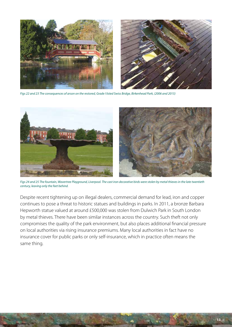

*Figs 22 and 23 The consequences of arson on the restored, Grade I listed Swiss Bridge, Birkenhead Park, (2006 and 2015)*



*Figs 24 and 25 The fountain, Wavertree Playground, Liverpool. The cast iron decorative birds were stolen by metal thieves in the late twentieth century, leaving only the feet behind.* 

Despite recent tightening up on illegal dealers, commercial demand for lead, iron and copper continues to pose a threat to historic statues and buildings in parks. In 2011, a bronze Barbara Hepworth statue valued at around £500,000 was stolen from Dulwich Park in South London by metal thieves. There have been similar instances across the country. Such theft not only compromises the quality of the park environment, but also places additional financial pressure on local authorities via rising insurance premiums. Many local authorities in fact have no insurance cover for public parks or only self-insurance, which in practice often means the same thing.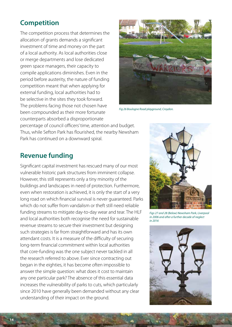# **Competition**

The competition process that determines the allocation of grants demands a significant investment of time and money on the part of a local authority. As local authorities close or merge departments and lose dedicated green space managers, their capacity to compile applications diminishes. Even in the period before austerity, the nature of funding competition meant that when applying for external funding, local authorities had to be selective in the sites they took forward. The problems facing those not chosen have been compounded as their more fortunate counterparts absorbed a disproportionate



*Fig 26 Boulogne Road playground, Croydon.*

percentage of council officers' time, attention and budget. Thus, while Sefton Park has flourished, the nearby Newsham Park has continued on a downward spiral.

### **Revenue funding**

Significant capital investment has rescued many of our most vulnerable historic park structures from imminent collapse. However, this still represents only a tiny minority of the buildings and landscapes in need of protection. Furthermore, even when restoration is achieved, it is only the start of a very long road on which financial survival is never guaranteed. Parks which do not suffer from vandalism or theft still need reliable funding streams to mitigate day-to-day wear and tear. The HLF and local authorities both recognise the need for sustainable revenue streams to secure their investment but designing such strategies is far from straightforward and has its own attendant costs. It is a measure of the difficulty of securing long-term financial commitment within local authorities that core-funding was the one subject never tackled in all the research referred to above. Ever since contracting out began in the eighties, it has become often impossible to answer the simple question: what does it cost to maintain any one particular park? The absence of this essential data increases the vulnerability of parks to cuts, which particularly since 2010 have generally been demanded without any clear understanding of their impact on the ground.



*Figs 27 and 28 (Below) Newsham Park, Liverpool in 2006 and after a further decade of neglect in 2016*

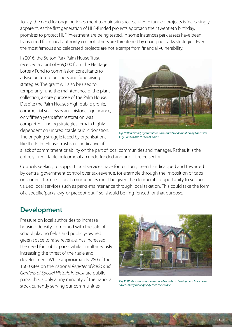Today, the need for ongoing investment to maintain successful HLF-funded projects is increasingly apparent. As the first generation of HLF-funded projects approach their twentieth birthday, promises to protect HLF investment are being tested. In some instances park assets have been transferred from local authority control; others are threatened by changing parks strategies. Even the most famous and celebrated projects are not exempt from financial vulnerability.

In 2016, the Sefton Park Palm House Trust received a grant of £69,000 from the Heritage Lottery Fund to commission consultants to advise on future business and fundraising strategies. The grant will also be used to temporarily fund the maintenance of the plant collection; a core purpose of the Palm House. Despite the Palm House's high public profile, commercial successes and historic significance, only fifteen years after restoration was completed funding strategies remain highly dependent on unpredictable public donation. The ongoing struggle faced by organisations like the Palm House Trust is not indicative of



*Fig 29 Bandstand, Rylands Park, earmarked for demolition by Lancaster City Council due to lack of funds.* 

a lack of commitment or ability on the part of local communities and manager. Rather, it is the entirely predictable outcome of an underfunded and unprotected sector.

Councils seeking to support local services have for too long been handicapped and thwarted by central government control over tax-revenue, for example through the imposition of caps on Council Tax rises. Local communities must be given the democratic opportunity to support valued local services such as parks-maintenance through local taxation. This could take the form of a specific 'parks levy' or precept but if so, should be ring-fenced for that purpose.

### **Development**

Pressure on local authorities to increase housing density, combined with the sale of school playing fields and publicly-owned green space to raise revenue, has increased the need for public parks while simultaneously increasing the threat of their sale and development. While approximately 280 of the 1600 sites on the national *Register of Parks and Gardens of Special Historic Interest* are public parks, this is only a tiny minority of the national stock currently serving our communities.



*Fig 30 While some assets earmarked for sale or development have been saved, many more quickly take their place.*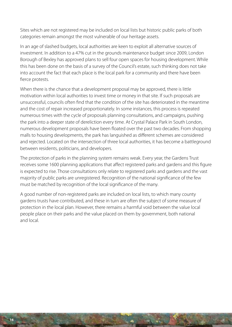Sites which are not registered may be included on local lists but historic public parks of both categories remain amongst the most vulnerable of our heritage assets.

In an age of slashed budgets, local authorities are keen to exploit all alternative sources of investment. In addition to a 47% cut in the grounds maintenance budget since 2009, London Borough of Bexley has approved plans to sell four open spaces for housing development. While this has been done on the basis of a survey of the Council's estate, such thinking does not take into account the fact that each place is the local park for a community and there have been fierce protests.

When there is the chance that a development proposal may be approved, there is little motivation within local authorities to invest time or money in that site. If such proposals are unsuccessful, councils often find that the condition of the site has deteriorated in the meantime and the cost of repair increased proportionately. In some instances, this process is repeated numerous times with the cycle of proposals planning consultations, and campaigns, pushing the park into a deeper state of dereliction every time. At Crystal Palace Park in South London, numerous development proposals have been floated over the past two decades. From shopping malls to housing developments, the park has languished as different schemes are considered and rejected. Located on the intersection of three local authorities, it has become a battleground between residents, politicians, and developers.

The protection of parks in the planning system remains weak. Every year, the Gardens Trust receives some 1600 planning applications that affect registered parks and gardens and this figure is expected to rise. Those consultations only relate to registered parks and gardens and the vast majority of public parks are unregistered. Recognition of the national significance of the few must be matched by recognition of the local significance of the many.

A good number of non-registered parks are included on local lists, to which many county gardens trusts have contributed, and these in turn are often the subject of some measure of protection in the local plan. However, there remains a harmful void between the value local people place on their parks and the value placed on them by government, both national and local.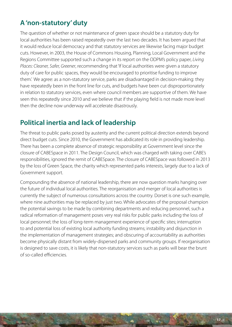# **A 'non-statutory' duty**

The question of whether or not maintenance of green space should be a statutory duty for local authorities has been raised repeatedly over the last two decades. It has been argued that it would reduce local democracy and that statutory services are likewise facing major budget cuts. However, in 2003, the House of Commons Housing, Planning, Local Government and the Regions Committee supported such a change in its report on the ODPM's policy paper, *Living Places: Cleaner, Safer, Greener*, recommending that 'If local authorities were given a statutory duty of care for public spaces, they would be encouraged to prioritise funding to improve them.' We agree: as a non-statutory service, parks are disadvantaged in decision-making: they have repeatedly been in the front line for cuts, and budgets have been cut disproportionately in relation to statutory services, even where council members are supportive of them. We have seen this repeatedly since 2010 and we believe that if the playing field is not made more level then the decline now underway will accelerate disastrously.

# **Political inertia and lack of leadership**

The threat to public parks posed by austerity and the current political direction extends beyond direct budget cuts. Since 2010, the Government has abdicated its role in providing leadership. There has been a complete absence of strategic responsibility at Government level since the closure of CABESpace in 2011. The Design Council, which was charged with taking over CABE's responsibilities, ignored the remit of CABESpace. The closure of CABESpace was followed in 2013 by the loss of Green Space, the charity which represented parks interests, largely due to a lack of Government support.

Compounding the absence of national leadership, there are now question marks hanging over the future of individual local authorities. The reorganisation and merger of local authorities is currently the subject of numerous consultations across the country. Dorset is one such example, where nine authorities may be replaced by just two. While advocates of the proposal champion the potential savings to be made by combining departments and reducing personnel, such a radical reformation of management poses very real risks for public parks including the loss of local personnel; the loss of long-term management experience of specific sites; interruption to and potential loss of existing local authority funding streams; instability and disjunction in the implementation of management strategies; and obscuring of accountability as authorities become physically distant from widely-dispersed parks and community groups. If reorganisation is designed to save costs, it is likely that non-statutory services such as parks will bear the brunt of so-called efficiencies.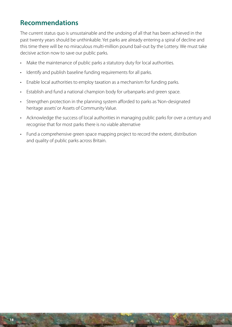### **Recommendations**

The current status quo is unsustainable and the undoing of all that has been achieved in the past twenty years should be unthinkable. Yet parks are already entering a spiral of decline and this time there will be no miraculous multi-million pound bail-out by the Lottery. We must take decisive action now to save our public parks.

- Make the maintenance of public parks a statutory duty for local authorities.
- Identify and publish baseline funding requirements for all parks.
- Enable local authorities to employ taxation as a mechanism for funding parks.
- Establish and fund a national champion body for urbanparks and green space.
- Strengthen protection in the planning system afforded to parks as 'Non-designated heritage assets' or Assets of Community Value.
- Acknowledge the success of local authorities in managing public parks for over a century and recognise that for most parks there is no viable alternative
- Fund a comprehensive green space mapping project to record the extent, distribution and quality of public parks across Britain.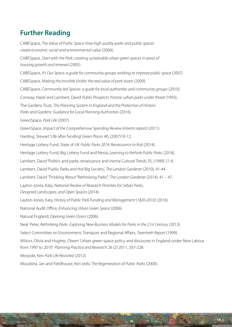# **Further Reading**

CABESpace, *The Value of Public Space: how high quality parks and public spaces create economic social and environmental value* (2004). CABESpace, *Start with the Park: creating sustainable urban green spaces in areas of housing growth and renewal* (2005). CABESpace, *It's Our Space: a guide for community groups working to improve public space (2007).* CABESpace, *Making the Invisible Visible: the real value of park assets* (2009). CABESpace, *Community-led Spaces: a guide for local authorities and community groups* (2010). Conway, Hazel and Lambert, David *Public Prospects: historic urban parks under threat* (1993). The Gardens Trust, *The Planning System in England and the Protection of Historic Parks and Gardens: Guidance for Local Planning Authorities* (2016). GreenSpace, *Park Life* (2007). GreenSpace, *Impact of the Comprehensive Spending Review (interim report)* (2011). Harding, Stewart 'Life after funding' *Green Places* 40, (2007)10-12. Heritage Lottery Fund, State of UK *Public Parks 2014: Renaissance to Risk* (2014). Heritage Lottery Fund, Big Lottery Fund and Nesta, *Learning to Rethink Public Parks* (2016). Lambert, David 'Politics and parks: renaissance and inertia' *Cultural Trends* 35, (1999) 21-6. Lambert, David 'Public Parks and the Big Society', *The London Gardener* (2010), 41-44. Lambert, David 'Thinking About "Rethinking Parks"', *The London Gardener* (2014), 41 – 47. Layton-Jones, Katy, *National Review of Research Priorities for Urban Parks, Designed Landscapes, and Open Spaces* (2014). Layton-Jones, Katy, *History of Public Park Funding and Management (1820-2010)* (2016). National Audit Office, *Enhancing Urban Green Space* (2006). Natural England, *Opening Green Doors* (2006). Neal, Peter, *Rethinking Parks. Exploring New Business Models for Parks in the 21st Century* (2013). Select Committee on Environment, Transport and Regional Affairs, *Twentieth Report* (1999). Wilson, Olivia and Hughes, Olwen 'Urban green space policy and discourse in England under New Labour from 1997 to 2010' *Planning Practice and Research* 26 (2) 2011, 207-228. Worpole, Ken *Park Life Revisited* (2012).

Woudstra, Jan and Fieldhouse, Ken (eds) *The Regeneration of Public Parks* (2000).